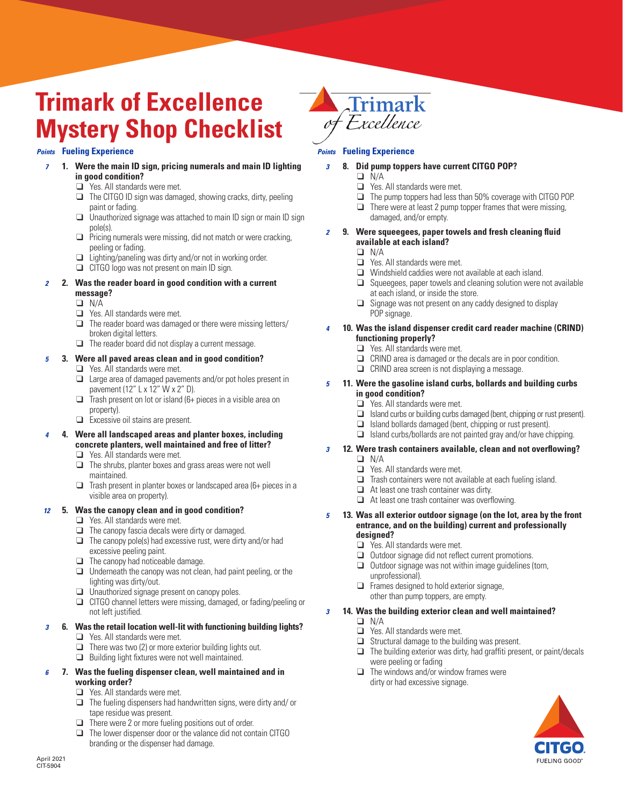# **Trimark of Excellence Mystery Shop Checklist**

# *Points* **Fueling Experience**

- *7* **1. Were the main ID sign, pricing numerals and main ID lighting in good condition?**
	- $\Box$  Yes. All standards were met.
	- $\Box$  The CITGO ID sign was damaged, showing cracks, dirty, peeling paint or fading.
	- $\Box$  Unauthorized signage was attached to main ID sign or main ID sign pole(s).
	- $\Box$  Pricing numerals were missing, did not match or were cracking, peeling or fading.
	- $\Box$  Lighting/paneling was dirty and/or not in working order.
	- $\Box$  CITGO logo was not present on main ID sign.

#### *2* **2. Was the reader board in good condition with a current message?**

- $\Box$  N/A
- 
- $\Box$  Yes. All standards were met.<br> $\Box$  The reader board was damage The reader board was damaged or there were missing letters/ broken digital letters.
- $\Box$  The reader board did not display a current message.

## *5* **3. Were all paved areas clean and in good condition?**

- $\Box$  Yes. All standards were met.
- $\Box$  Large area of damaged pavements and/or pot holes present in pavement (12" L x 12" W x 2" D).
- $\Box$  Trash present on lot or island (6+ pieces in a visible area on property).
- $\Box$  Excessive oil stains are present.
- *4* **4. Were all landscaped areas and planter boxes, including concrete planters, well maintained and free of litter?** 
	- $\Box$  Yes. All standards were met.
	- $\Box$  The shrubs, planter boxes and grass areas were not well maintained.
	- $\Box$  Trash present in planter boxes or landscaped area (6+ pieces in a visible area on property).

## *12* **5. Was the canopy clean and in good condition?**

- $\Box$  Yes. All standards were met.
- $\Box$  The canopy fascia decals were dirty or damaged.
- $\Box$  The canopy pole(s) had excessive rust, were dirty and/or had excessive peeling paint.
- $\Box$  The canopy had noticeable damage.
- $\Box$  Underneath the canopy was not clean, had paint peeling, or the lighting was dirty/out.
- $\Box$  Unauthorized signage present on canopy poles.
- $\Box$  CITGO channel letters were missing, damaged, or fading/peeling or not left justified.

# *3* **6. Was the retail location well-lit with functioning building lights?**

- $\Box$  Yes. All standards were met.
- $\Box$  There was two (2) or more exterior building lights out.
- $\Box$  Building light fixtures were not well maintained.

## *6* **7. Was the fueling dispenser clean, well maintained and in working order?**

- $\Box$  Yes. All standards were met.
- $\Box$  The fueling dispensers had handwritten signs, were dirty and/ or tape residue was present.
- $\Box$  There were 2 or more fueling positions out of order.
- $\Box$  The lower dispenser door or the valance did not contain CITGO branding or the dispenser had damage.



## *Points* **Fueling Experience**

- *3* **8. Did pump toppers have current CITGO POP?**
	- $\Box$  N/A
	- $\Box$  Yes. All standards were met.
	- $\Box$  The pump toppers had less than 50% coverage with CITGO POP.
	- $\Box$  There were at least 2 pump topper frames that were missing, damaged, and/or empty.

#### *2* **9. Were squeegees, paper towels and fresh cleaning fluid available at each island?**

- $\Box$  N/A
- $\Box$  Yes. All standards were met.
- $\Box$  Windshield caddies were not available at each island.
- $\Box$  Squeegees, paper towels and cleaning solution were not available at each island, or inside the store.
- $\Box$  Signage was not present on any caddy designed to display POP signage.

#### *4* **10. Was the island dispenser credit card reader machine (CRIND) functioning properly?**

- $\Box$  Yes. All standards were met.
- $\Box$  CRIND area is damaged or the decals are in poor condition.
- $\Box$  CRIND area screen is not displaying a message.

#### *5* **11. Were the gasoline island curbs, bollards and building curbs in good condition?**

- $\Box$  Yes. All standards were met.
- $\Box$  Island curbs or building curbs damaged (bent, chipping or rust present).<br> $\Box$  Island bollards damaged (bent, chipping or rust present).
- Island bollards damaged (bent, chipping or rust present).
- $\Box$  Island curbs/bollards are not painted gray and/or have chipping.

#### *3* **12. Were trash containers available, clean and not overflowing?**   $\Box$  N/A

- $\Box$  Yes. All standards were met.
- 
- $\Box$  Trash containers were not available at each fueling island.<br> $\Box$  At least one trash container was dirty At least one trash container was dirty.
- $\Box$  At least one trash container was overflowing.
- *5* **13. Was all exterior outdoor signage (on the lot, area by the front entrance, and on the building) current and professionally designed?** 
	- $\Box$  Yes. All standards were met.
	- $\Box$  Outdoor signage did not reflect current promotions.
	- $\Box$  Outdoor signage was not within image guidelines (torn, unprofessional).
	- $\Box$  Frames designed to hold exterior signage. other than pump toppers, are empty.

## *3* **14. Was the building exterior clean and well maintained?**

- $\Box$  N/A
	- $\Box$  Yes. All standards were met.
	- $\Box$  Structural damage to the building was present.
- $\Box$  The building exterior was dirty, had graffiti present, or paint/decals were peeling or fading
- $\Box$  The windows and/or window frames were dirty or had excessive signage.